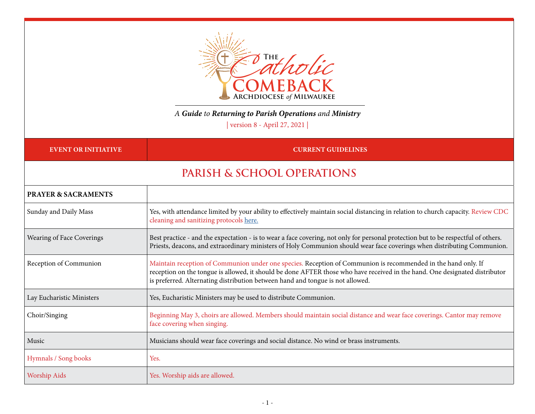

### *A Guide to Returning to Parish Operations and Ministry*

| version 8 - April 27, 2021 |

#### **EVENT OR INITIATIVE** *CURRENT GUIDELINES*

## **PARISH & SCHOOL OPERATIONS**

| <b>PRAYER &amp; SACRAMENTS</b>   |                                                                                                                                                                                                                                                                                                                                |
|----------------------------------|--------------------------------------------------------------------------------------------------------------------------------------------------------------------------------------------------------------------------------------------------------------------------------------------------------------------------------|
| Sunday and Daily Mass            | Yes, with attendance limited by your ability to effectively maintain social distancing in relation to church capacity. Review CDC<br>cleaning and sanitizing protocols here.                                                                                                                                                   |
| <b>Wearing of Face Coverings</b> | Best practice - and the expectation - is to wear a face covering, not only for personal protection but to be respectful of others.<br>Priests, deacons, and extraordinary ministers of Holy Communion should wear face coverings when distributing Communion.                                                                  |
| Reception of Communion           | Maintain reception of Communion under one species. Reception of Communion is recommended in the hand only. If<br>reception on the tongue is allowed, it should be done AFTER those who have received in the hand. One designated distributor<br>is preferred. Alternating distribution between hand and tongue is not allowed. |
| Lay Eucharistic Ministers        | Yes, Eucharistic Ministers may be used to distribute Communion.                                                                                                                                                                                                                                                                |
| Choir/Singing                    | Beginning May 3, choirs are allowed. Members should maintain social distance and wear face coverings. Cantor may remove<br>face covering when singing.                                                                                                                                                                         |
| Music                            | Musicians should wear face coverings and social distance. No wind or brass instruments.                                                                                                                                                                                                                                        |
| Hymnals / Song books             | Yes.                                                                                                                                                                                                                                                                                                                           |
| <b>Worship Aids</b>              | Yes. Worship aids are allowed.                                                                                                                                                                                                                                                                                                 |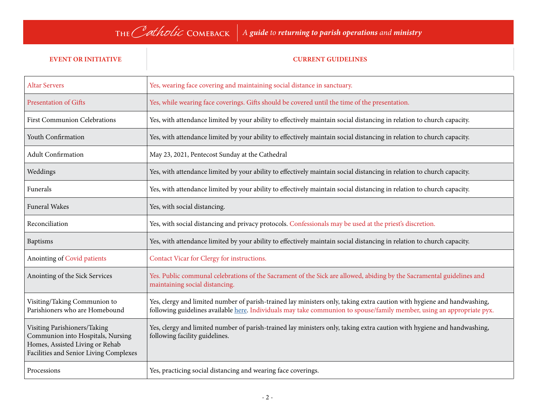# **The**Catholic **Comeback** *<sup>A</sup>guide to returning to parish operations and ministry*

### **EVENT OR INITIATIVE CURRENT GUIDELINES**

| <b>Altar Servers</b>                                                                                                                           | Yes, wearing face covering and maintaining social distance in sanctuary.                                                                                                                                                                          |
|------------------------------------------------------------------------------------------------------------------------------------------------|---------------------------------------------------------------------------------------------------------------------------------------------------------------------------------------------------------------------------------------------------|
| <b>Presentation of Gifts</b>                                                                                                                   | Yes, while wearing face coverings. Gifts should be covered until the time of the presentation.                                                                                                                                                    |
| <b>First Communion Celebrations</b>                                                                                                            | Yes, with attendance limited by your ability to effectively maintain social distancing in relation to church capacity.                                                                                                                            |
| Youth Confirmation                                                                                                                             | Yes, with attendance limited by your ability to effectively maintain social distancing in relation to church capacity.                                                                                                                            |
| <b>Adult Confirmation</b>                                                                                                                      | May 23, 2021, Pentecost Sunday at the Cathedral                                                                                                                                                                                                   |
| Weddings                                                                                                                                       | Yes, with attendance limited by your ability to effectively maintain social distancing in relation to church capacity.                                                                                                                            |
| Funerals                                                                                                                                       | Yes, with attendance limited by your ability to effectively maintain social distancing in relation to church capacity.                                                                                                                            |
| <b>Funeral Wakes</b>                                                                                                                           | Yes, with social distancing.                                                                                                                                                                                                                      |
| Reconciliation                                                                                                                                 | Yes, with social distancing and privacy protocols. Confessionals may be used at the priest's discretion.                                                                                                                                          |
| <b>Baptisms</b>                                                                                                                                | Yes, with attendance limited by your ability to effectively maintain social distancing in relation to church capacity.                                                                                                                            |
| Anointing of Covid patients                                                                                                                    | Contact Vicar for Clergy for instructions.                                                                                                                                                                                                        |
| Anointing of the Sick Services                                                                                                                 | Yes. Public communal celebrations of the Sacrament of the Sick are allowed, abiding by the Sacramental guidelines and<br>maintaining social distancing.                                                                                           |
| Visiting/Taking Communion to<br>Parishioners who are Homebound                                                                                 | Yes, clergy and limited number of parish-trained lay ministers only, taking extra caution with hygiene and handwashing,<br>following guidelines available here. Individuals may take communion to spouse/family member, using an appropriate pyx. |
| Visiting Parishioners/Taking<br>Communion into Hospitals, Nursing<br>Homes, Assisted Living or Rehab<br>Facilities and Senior Living Complexes | Yes, clergy and limited number of parish-trained lay ministers only, taking extra caution with hygiene and handwashing,<br>following facility guidelines.                                                                                         |
| Processions                                                                                                                                    | Yes, practicing social distancing and wearing face coverings.                                                                                                                                                                                     |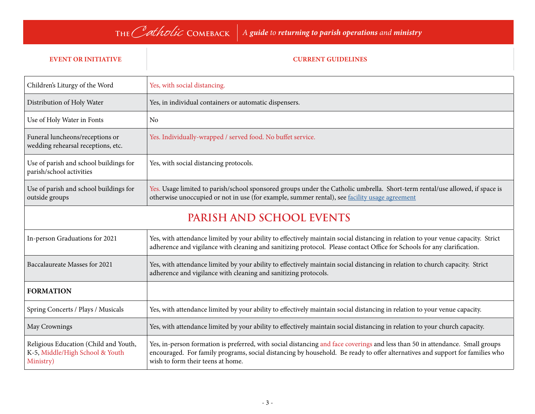### **EVENT OR INITIATIVE CURRENT GUIDELINES**

| Children's Liturgy of the Word                                                        | Yes, with social distancing.                                                                                                                                                                                                                                                                       |  |
|---------------------------------------------------------------------------------------|----------------------------------------------------------------------------------------------------------------------------------------------------------------------------------------------------------------------------------------------------------------------------------------------------|--|
| Distribution of Holy Water                                                            | Yes, in individual containers or automatic dispensers.                                                                                                                                                                                                                                             |  |
| Use of Holy Water in Fonts                                                            | <b>No</b>                                                                                                                                                                                                                                                                                          |  |
| Funeral luncheons/receptions or<br>wedding rehearsal receptions, etc.                 | Yes. Individually-wrapped / served food. No buffet service.                                                                                                                                                                                                                                        |  |
| Use of parish and school buildings for<br>parish/school activities                    | Yes, with social distancing protocols.                                                                                                                                                                                                                                                             |  |
| Use of parish and school buildings for<br>outside groups                              | Yes. Usage limited to parish/school sponsored groups under the Catholic umbrella. Short-term rental/use allowed, if space is<br>otherwise unoccupied or not in use (for example, summer rental), see facility usage agreement                                                                      |  |
| PARISH AND SCHOOL EVENTS                                                              |                                                                                                                                                                                                                                                                                                    |  |
| In-person Graduations for 2021                                                        | Yes, with attendance limited by your ability to effectively maintain social distancing in relation to your venue capacity. Strict<br>adherence and vigilance with cleaning and sanitizing protocol. Please contact Office for Schools for any clarification.                                       |  |
| Baccalaureate Masses for 2021                                                         | Yes, with attendance limited by your ability to effectively maintain social distancing in relation to church capacity. Strict<br>adherence and vigilance with cleaning and sanitizing protocols.                                                                                                   |  |
| <b>FORMATION</b>                                                                      |                                                                                                                                                                                                                                                                                                    |  |
| Spring Concerts / Plays / Musicals                                                    | Yes, with attendance limited by your ability to effectively maintain social distancing in relation to your venue capacity.                                                                                                                                                                         |  |
| May Crownings                                                                         | Yes, with attendance limited by your ability to effectively maintain social distancing in relation to your church capacity.                                                                                                                                                                        |  |
| Religious Education (Child and Youth,<br>K-5, Middle/High School & Youth<br>Ministry) | Yes, in-person formation is preferred, with social distancing and face coverings and less than 50 in attendance. Small groups<br>encouraged. For family programs, social distancing by household. Be ready to offer alternatives and support for families who<br>wish to form their teens at home. |  |